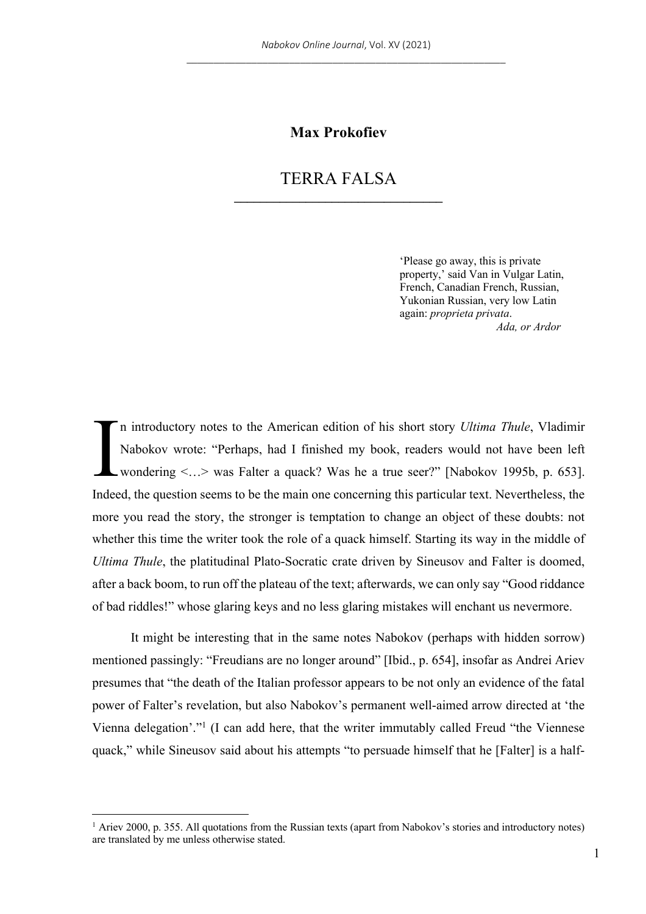## **Max Prokofiev**

## TERRA FALSA **\_\_\_\_\_\_\_\_\_\_\_\_\_\_\_\_\_\_\_\_\_\_\_\_\_\_\_\_\_\_\_\_**

'Please go away, this is private property,' said Van in Vulgar Latin, French, Canadian French, Russian, Yukonian Russian, very low Latin again: *proprieta privata*.  *Ada, or Ardor*

n introductory notes to the American edition of his short story *Ultima Thule*, Vladimir Nabokov wrote: "Perhaps, had I finished my book, readers would not have been left wondering <…> was Falter a quack? Was he a true seer?" [Nabokov 1995b, p. 653]. Indeed, the question seems to be the main one concerning this particular text. Nevertheless, the more you read the story, the stronger is temptation to change an object of these doubts: not whether this time the writer took the role of a quack himself. Starting its way in the middle of *Ultima Thule*, the platitudinal Plato-Socratic crate driven by Sineusov and Falter is doomed, after a back boom, to run off the plateau of the text; afterwards, we can only say "Good riddance of bad riddles!" whose glaring keys and no less glaring mistakes will enchant us nevermore. I

It might be interesting that in the same notes Nabokov (perhaps with hidden sorrow) mentioned passingly: "Freudians are no longer around" [Ibid., p. 654], insofar as Andrei Ariev presumes that "the death of the Italian professor appears to be not only an evidence of the fatal power of Falter's revelation, but also Nabokov's permanent well-aimed arrow directed at 'the Vienna delegation'."1 (I can add here, that the writer immutably called Freud "the Viennese quack," while Sineusov said about his attempts "to persuade himself that he [Falter] is a half-

 $1$  Ariev 2000, p. 355. All quotations from the Russian texts (apart from Nabokov's stories and introductory notes) are translated by me unless otherwise stated.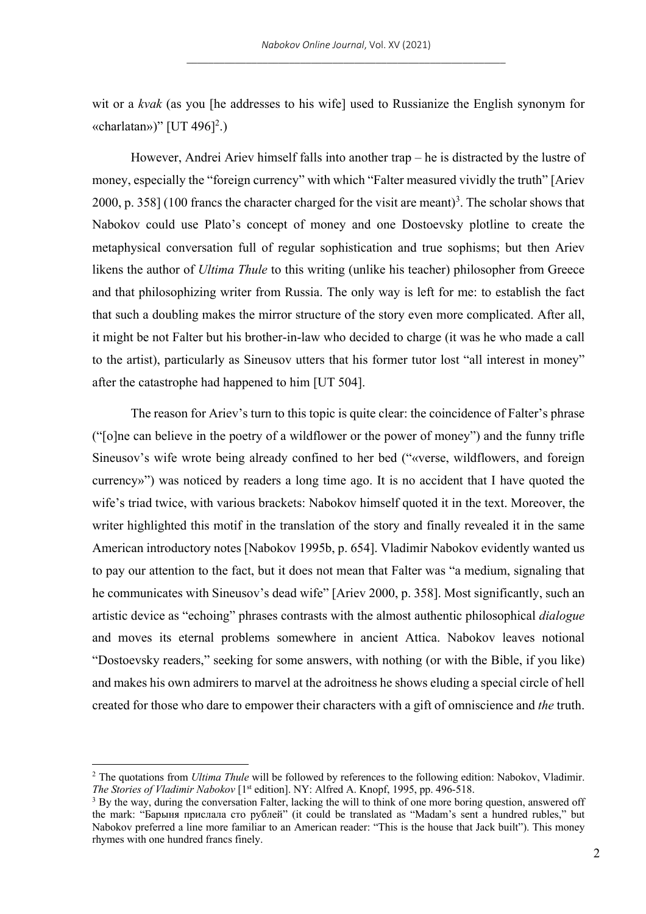wit or a *kvak* (as you [he addresses to his wife] used to Russianize the English synonym for «charlatan»)" [UT 496]<sup>2</sup>.)

However, Andrei Ariev himself falls into another trap – he is distracted by the lustre of money, especially the "foreign currency" with which "Falter measured vividly the truth" [Ariev 2000, p. 358] (100 francs the character charged for the visit are meant)<sup>3</sup>. The scholar shows that Nabokov could use Plato's concept of money and one Dostoevsky plotline to create the metaphysical conversation full of regular sophistication and true sophisms; but then Ariev likens the author of *Ultima Thule* to this writing (unlike his teacher) philosopher from Greece and that philosophizing writer from Russia. The only way is left for me: to establish the fact that such a doubling makes the mirror structure of the story even more complicated. After all, it might be not Falter but his brother-in-law who decided to charge (it was he who made a call to the artist), particularly as Sineusov utters that his former tutor lost "all interest in money" after the catastrophe had happened to him [UT 504].

The reason for Ariev's turn to this topic is quite clear: the coincidence of Falter's phrase ("[o]ne can believe in the poetry of a wildflower or the power of money") and the funny trifle Sineusov's wife wrote being already confined to her bed ("«verse, wildflowers, and foreign currency»") was noticed by readers a long time ago. It is no accident that I have quoted the wife's triad twice, with various brackets: Nabokov himself quoted it in the text. Moreover, the writer highlighted this motif in the translation of the story and finally revealed it in the same American introductory notes [Nabokov 1995b, p. 654]. Vladimir Nabokov evidently wanted us to pay our attention to the fact, but it does not mean that Falter was "a medium, signaling that he communicates with Sineusov's dead wife" [Ariev 2000, p. 358]. Most significantly, such an artistic device as "echoing" phrases contrasts with the almost authentic philosophical *dialogue* and moves its eternal problems somewhere in ancient Attica. Nabokov leaves notional "Dostoevsky readers," seeking for some answers, with nothing (or with the Bible, if you like) and makes his own admirers to marvel at the adroitness he shows eluding a special circle of hell created for those who dare to empower their characters with a gift of omniscience and *the* truth.

<sup>&</sup>lt;sup>2</sup> The quotations from *Ultima Thule* will be followed by references to the following edition: Nabokov, Vladimir. *The Stories of Vladimir Nabokov* [1st edition]. NY: Alfred A. Knopf, 1995, pp. 496-518.

 $3$  By the way, during the conversation Falter, lacking the will to think of one more boring question, answered off the mark: "Барыня прислала сто рублей" (it could be translated as "Madam's sent a hundred rubles," but Nabokov preferred a line more familiar to an American reader: "This is the house that Jack built"). This money rhymes with one hundred francs finely.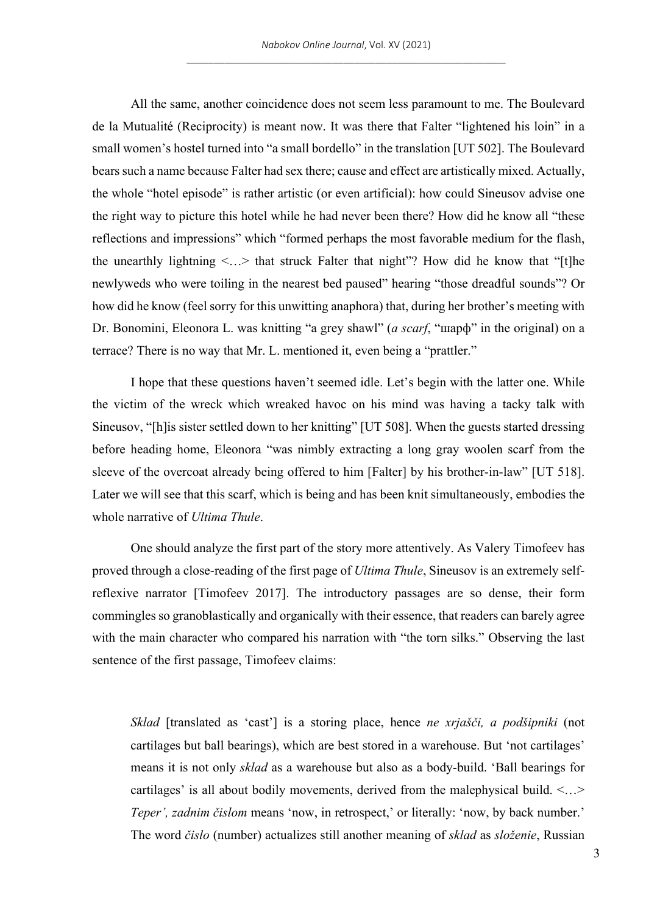All the same, another coincidence does not seem less paramount to me. The Boulevard de la Mutualité (Reciprocity) is meant now. It was there that Falter "lightened his loin" in a small women's hostel turned into "a small bordello" in the translation [UT 502]. The Boulevard bears such a name because Falter had sex there; cause and effect are artistically mixed. Actually, the whole "hotel episode" is rather artistic (or even artificial): how could Sineusov advise one the right way to picture this hotel while he had never been there? How did he know all "these reflections and impressions" which "formed perhaps the most favorable medium for the flash, the unearthly lightning  $\langle \ldots \rangle$  that struck Falter that night"? How did he know that "[t]he newlyweds who were toiling in the nearest bed paused" hearing "those dreadful sounds"? Or how did he know (feel sorry for this unwitting anaphora) that, during her brother's meeting with Dr. Bonomini, Eleonora L. was knitting "a grey shawl" (*a scarf*, "шарф" in the original) on a terrace? There is no way that Mr. L. mentioned it, even being a "prattler."

I hope that these questions haven't seemed idle. Let's begin with the latter one. While the victim of the wreck which wreaked havoc on his mind was having a tacky talk with Sineusov, "[h]is sister settled down to her knitting" [UT 508]. When the guests started dressing before heading home, Eleonora "was nimbly extracting a long gray woolen scarf from the sleeve of the overcoat already being offered to him [Falter] by his brother-in-law" [UT 518]. Later we will see that this scarf, which is being and has been knit simultaneously, embodies the whole narrative of *Ultima Thule*.

One should analyze the first part of the story more attentively. As Valery Timofeev has proved through a close-reading of the first page of *Ultima Thule*, Sineusov is an extremely selfreflexive narrator [Timofeev 2017]. The introductory passages are so dense, their form commingles so granoblastically and organically with their essence, that readers can barely agree with the main character who compared his narration with "the torn silks." Observing the last sentence of the first passage, Timofeev claims:

*Sklad* [translated as 'cast'] is a storing place, hence *ne xrjašči, a podšipniki* (not cartilages but ball bearings), which are best stored in a warehouse. But 'not cartilages' means it is not only *sklad* as a warehouse but also as a body-build. 'Ball bearings for cartilages' is all about bodily movements, derived from the malephysical build. <…> *Teper', zadnim čislom* means 'now, in retrospect,' or literally: 'now, by back number.' The word *čislo* (number) actualizes still another meaning of *sklad* as *složenie*, Russian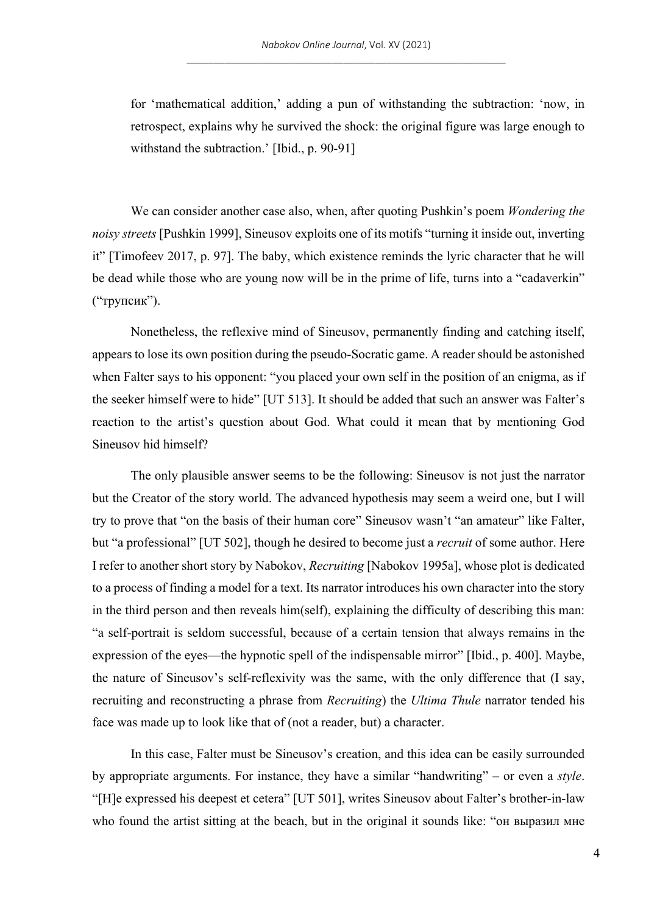for 'mathematical addition,' adding a pun of withstanding the subtraction: 'now, in retrospect, explains why he survived the shock: the original figure was large enough to withstand the subtraction.' [Ibid., p. 90-91]

We can consider another case also, when, after quoting Pushkin's poem *Wondering the noisy streets* [Pushkin 1999], Sineusov exploits one of its motifs "turning it inside out, inverting it" [Timofeev 2017, p. 97]. The baby, which existence reminds the lyric character that he will be dead while those who are young now will be in the prime of life, turns into a "cadaverkin" ("трупсик").

Nonetheless, the reflexive mind of Sineusov, permanently finding and catching itself, appears to lose its own position during the pseudo-Socratic game. A reader should be astonished when Falter says to his opponent: "you placed your own self in the position of an enigma, as if the seeker himself were to hide" [UT 513]. It should be added that such an answer was Falter's reaction to the artist's question about God. What could it mean that by mentioning God Sineusov hid himself?

The only plausible answer seems to be the following: Sineusov is not just the narrator but the Creator of the story world. The advanced hypothesis may seem a weird one, but I will try to prove that "on the basis of their human core" Sineusov wasn't "an amateur" like Falter, but "a professional" [UT 502], though he desired to become just a *recruit* of some author. Here I refer to another short story by Nabokov, *Recruiting* [Nabokov 1995a], whose plot is dedicated to a process of finding a model for a text. Its narrator introduces his own character into the story in the third person and then reveals him(self), explaining the difficulty of describing this man: "a self-portrait is seldom successful, because of a certain tension that always remains in the expression of the eyes—the hypnotic spell of the indispensable mirror" [Ibid., p. 400]. Maybe, the nature of Sineusov's self-reflexivity was the same, with the only difference that (I say, recruiting and reconstructing a phrase from *Recruiting*) the *Ultima Thule* narrator tended his face was made up to look like that of (not a reader, but) a character.

In this case, Falter must be Sineusov's creation, and this idea can be easily surrounded by appropriate arguments. For instance, they have a similar "handwriting" – or even a *style*. "[H]e expressed his deepest et cetera" [UT 501], writes Sineusov about Falter's brother-in-law who found the artist sitting at the beach, but in the original it sounds like: "он выразил мне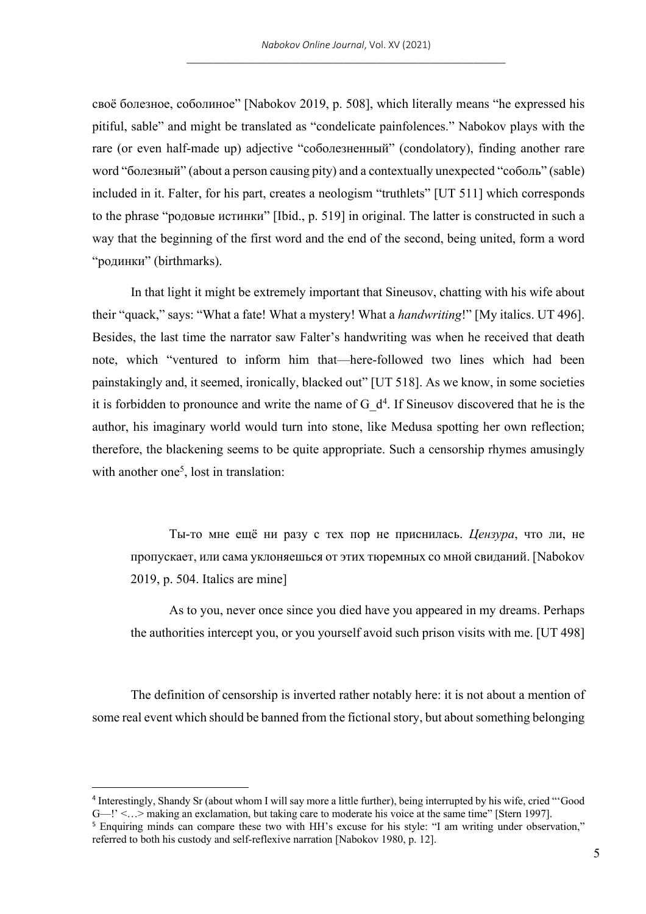своё болезное, соболиное" [Nabokov 2019, p. 508], which literally means "he expressed his pitiful, sable" and might be translated as "condelicate painfolences." Nabokov plays with the rare (or even half-made up) adjective "соболезненный" (condolatory), finding another rare word "болезный" (about a person causing pity) and a contextually unexpected "соболь" (sable) included in it. Falter, for his part, creates a neologism "truthlets" [UT 511] which corresponds to the phrase "родовые истинки" [Ibid., p. 519] in original. The latter is constructed in such a way that the beginning of the first word and the end of the second, being united, form a word "родинки" (birthmarks).

In that light it might be extremely important that Sineusov, chatting with his wife about their "quack," says: "What a fate! What a mystery! What a *handwriting*!" [My italics. UT 496]. Besides, the last time the narrator saw Falter's handwriting was when he received that death note, which "ventured to inform him that—here-followed two lines which had been painstakingly and, it seemed, ironically, blacked out" [UT 518]. As we know, in some societies it is forbidden to pronounce and write the name of  $G_d^4$ . If Sineusov discovered that he is the author, his imaginary world would turn into stone, like Medusa spotting her own reflection; therefore, the blackening seems to be quite appropriate. Such a censorship rhymes amusingly with another one<sup>5</sup>, lost in translation:

Ты-то мне ещё ни разу с тех пор не приснилась. *Цензура*, что ли, не пропускает, или сама уклоняешься от этих тюремных со мной свиданий. [Nabokov 2019, p. 504. Italics are mine]

As to you, never once since you died have you appeared in my dreams. Perhaps the authorities intercept you, or you yourself avoid such prison visits with me. [UT 498]

The definition of censorship is inverted rather notably here: it is not about a mention of some real event which should be banned from the fictional story, but about something belonging

<sup>4</sup> Interestingly, Shandy Sr (about whom I will say more a little further), being interrupted by his wife, cried "'Good G—!' <... > making an exclamation, but taking care to moderate his voice at the same time" [Stern 1997].

<sup>&</sup>lt;sup>5</sup> Enquiring minds can compare these two with HH's excuse for his style: "I am writing under observation," referred to both his custody and self-reflexive narration [Nabokov 1980, p. 12].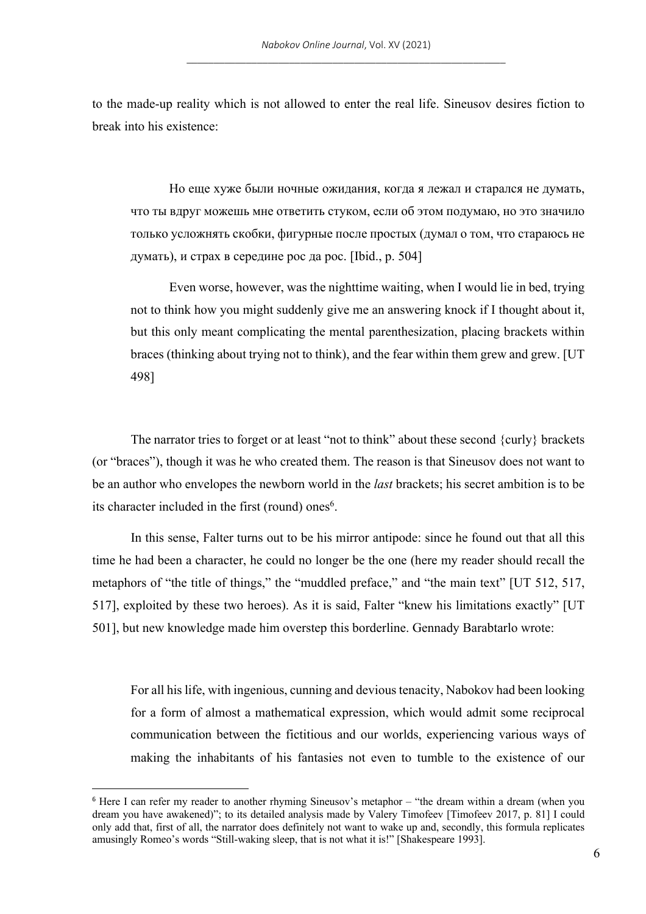to the made-up reality which is not allowed to enter the real life. Sineusov desires fiction to break into his existence:

Но еще хуже были ночные ожидания, когда я лежал и старался не думать, что ты вдруг можешь мне ответить стуком, если об этом подумаю, но это значило только усложнять скобки, фигурные после простых (думал о том, что стараюсь не думать), и страх в середине рос да рос. [Ibid., p. 504]

Even worse, however, was the nighttime waiting, when I would lie in bed, trying not to think how you might suddenly give me an answering knock if I thought about it, but this only meant complicating the mental parenthesization, placing brackets within braces (thinking about trying not to think), and the fear within them grew and grew. [UT 498]

The narrator tries to forget or at least "not to think" about these second {curly} brackets (or "braces"), though it was he who created them. The reason is that Sineusov does not want to be an author who envelopes the newborn world in the *last* brackets; his secret ambition is to be its character included in the first (round) ones<sup>6</sup>.

In this sense, Falter turns out to be his mirror antipode: since he found out that all this time he had been a character, he could no longer be the one (here my reader should recall the metaphors of "the title of things," the "muddled preface," and "the main text" [UT 512, 517, 517], exploited by these two heroes). As it is said, Falter "knew his limitations exactly" [UT 501], but new knowledge made him overstep this borderline. Gennady Barabtarlo wrote:

For all his life, with ingenious, cunning and devious tenacity, Nabokov had been looking for a form of almost a mathematical expression, which would admit some reciprocal communication between the fictitious and our worlds, experiencing various ways of making the inhabitants of his fantasies not even to tumble to the existence of our

<sup>&</sup>lt;sup>6</sup> Here I can refer my reader to another rhyming Sineusov's metaphor – "the dream within a dream (when you dream you have awakened)"; to its detailed analysis made by Valery Timofeev [Timofeev 2017, p. 81] I could only add that, first of all, the narrator does definitely not want to wake up and, secondly, this formula replicates amusingly Romeo's words "Still-waking sleep, that is not what it is!" [Shakespeare 1993].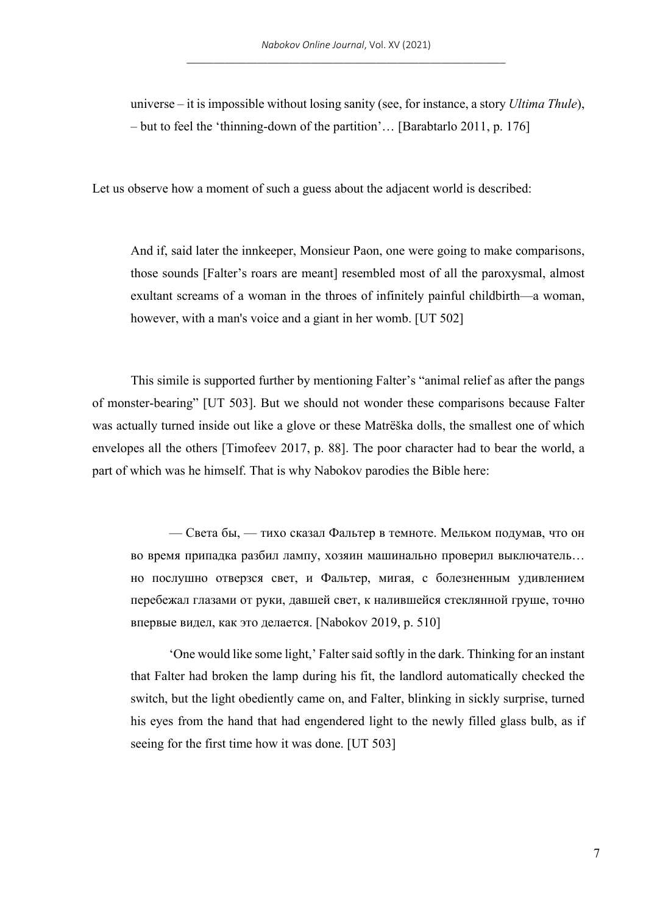universe – it is impossible without losing sanity (see, for instance, a story *Ultima Thule*), – but to feel the 'thinning-down of the partition'… [Barabtarlo 2011, p. 176]

Let us observe how a moment of such a guess about the adjacent world is described:

And if, said later the innkeeper, Monsieur Paon, one were going to make comparisons, those sounds [Falter's roars are meant] resembled most of all the paroxysmal, almost exultant screams of a woman in the throes of infinitely painful childbirth—a woman, however, with a man's voice and a giant in her womb. [UT 502]

This simile is supported further by mentioning Falter's "animal relief as after the pangs of monster-bearing" [UT 503]. But we should not wonder these comparisons because Falter was actually turned inside out like a glove or these Matrëška dolls, the smallest one of which envelopes all the others [Timofeev 2017, p. 88]. The poor character had to bear the world, a part of which was he himself. That is why Nabokov parodies the Bible here:

— Света бы, — тихо сказал Фальтер в темноте. Мельком подумав, что он во время припадка разбил лампу, хозяин машинально проверил выключатель… но послушно отверзся свет, и Фальтер, мигая, с болезненным удивлением перебежал глазами от руки, давшей свет, к налившейся стеклянной груше, точно впервые видел, как это делается. [Nabokov 2019, p. 510]

'One would like some light,' Falter said softly in the dark. Thinking for an instant that Falter had broken the lamp during his fit, the landlord automatically checked the switch, but the light obediently came on, and Falter, blinking in sickly surprise, turned his eyes from the hand that had engendered light to the newly filled glass bulb, as if seeing for the first time how it was done. [UT 503]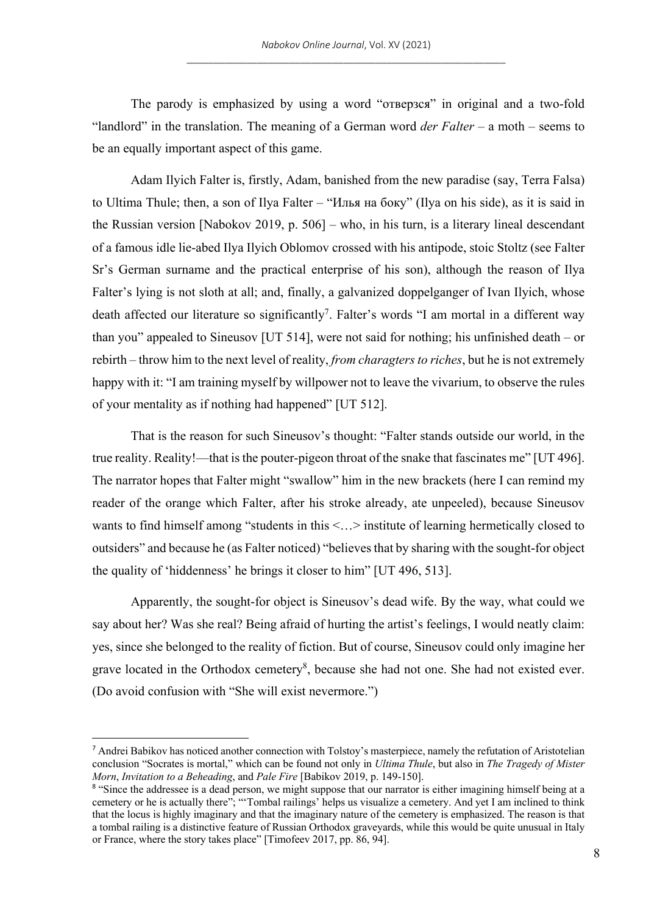The parody is emphasized by using a word "отверзся" in original and a two-fold "landlord" in the translation. The meaning of a German word *der Falter* – a moth – seems to be an equally important aspect of this game.

Adam Ilyich Falter is, firstly, Adam, banished from the new paradise (say, Terra Falsa) to Ultima Thule; then, a son of Ilya Falter – "Илья на боку" (Ilya on his side), as it is said in the Russian version [Nabokov 2019, p. 506] – who, in his turn, is a literary lineal descendant of a famous idle lie-abed Ilya Ilyich Oblomov crossed with his antipode, stoic Stoltz (see Falter Sr's German surname and the practical enterprise of his son), although the reason of Ilya Falter's lying is not sloth at all; and, finally, a galvanized doppelganger of Ivan Ilyich, whose death affected our literature so significantly<sup>7</sup>. Falter's words "I am mortal in a different way than you" appealed to Sineusov [UT 514], were not said for nothing; his unfinished death – or rebirth – throw him to the next level of reality, *from charagters to riches*, but he is not extremely happy with it: "I am training myself by willpower not to leave the vivarium, to observe the rules of your mentality as if nothing had happened" [UT 512].

That is the reason for such Sineusov's thought: "Falter stands outside our world, in the true reality. Reality!—that is the pouter-pigeon throat of the snake that fascinates me" [UT 496]. The narrator hopes that Falter might "swallow" him in the new brackets (here I can remind my reader of the orange which Falter, after his stroke already, ate unpeeled), because Sineusov wants to find himself among "students in this  $\langle \cdot, \cdot \rangle$  institute of learning hermetically closed to outsiders" and because he (as Falter noticed) "believes that by sharing with the sought-for object the quality of 'hiddenness' he brings it closer to him" [UT 496, 513].

Apparently, the sought-for object is Sineusov's dead wife. By the way, what could we say about her? Was she real? Being afraid of hurting the artist's feelings, I would neatly claim: yes, since she belonged to the reality of fiction. But of course, Sineusov could only imagine her grave located in the Orthodox cemetery<sup>8</sup>, because she had not one. She had not existed ever. (Do avoid confusion with "She will exist nevermore.")

<sup>&</sup>lt;sup>7</sup> Andrei Babikov has noticed another connection with Tolstoy's masterpiece, namely the refutation of Aristotelian conclusion "Socrates is mortal," which can be found not only in *Ultima Thule*, but also in *The Tragedy of Mister Morn*, *Invitation to a Beheading*, and *Pale Fire* [Babikov 2019, p. 149-150].

<sup>&</sup>lt;sup>8</sup> "Since the addressee is a dead person, we might suppose that our narrator is either imagining himself being at a cemetery or he is actually there"; "'Tombal railings' helps us visualize a cemetery. And yet I am inclined to think that the locus is highly imaginary and that the imaginary nature of the cemetery is emphasized. The reason is that a tombal railing is a distinctive feature of Russian Orthodox graveyards, while this would be quite unusual in Italy or France, where the story takes place" [Timofeev 2017, pp. 86, 94].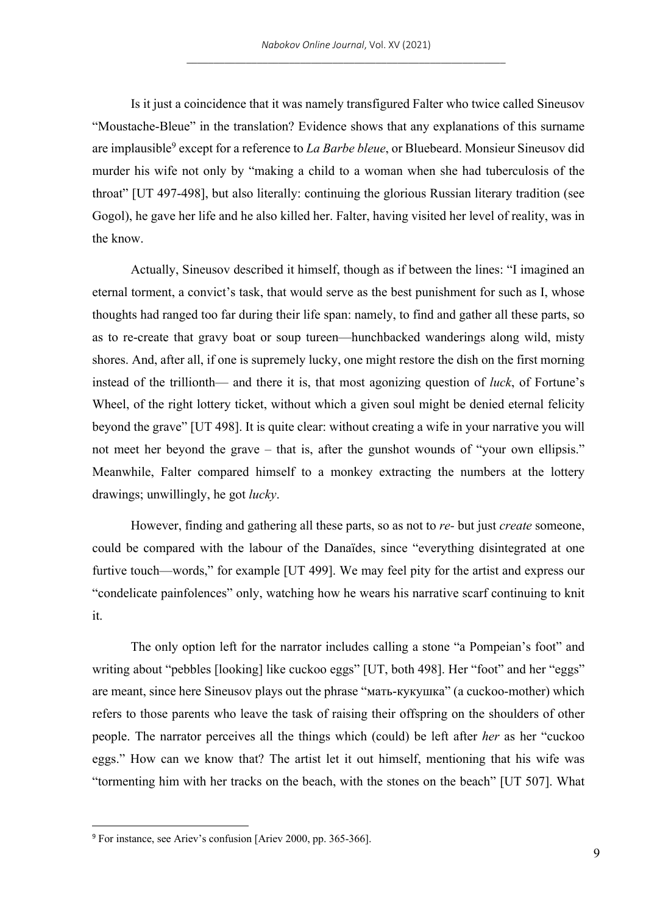Is it just a coincidence that it was namely transfigured Falter who twice called Sineusov "Moustache-Bleue" in the translation? Evidence shows that any explanations of this surname are implausible<sup>9</sup> except for a reference to *La Barbe bleue*, or Bluebeard. Monsieur Sineusov did murder his wife not only by "making a child to a woman when she had tuberculosis of the throat" [UT 497-498], but also literally: continuing the glorious Russian literary tradition (see Gogol), he gave her life and he also killed her. Falter, having visited her level of reality, was in the know.

Actually, Sineusov described it himself, though as if between the lines: "I imagined an eternal torment, a convict's task, that would serve as the best punishment for such as I, whose thoughts had ranged too far during their life span: namely, to find and gather all these parts, so as to re-create that gravy boat or soup tureen—hunchbacked wanderings along wild, misty shores. And, after all, if one is supremely lucky, one might restore the dish on the first morning instead of the trillionth— and there it is, that most agonizing question of *luck*, of Fortune's Wheel, of the right lottery ticket, without which a given soul might be denied eternal felicity beyond the grave" [UT 498]. It is quite clear: without creating a wife in your narrative you will not meet her beyond the grave – that is, after the gunshot wounds of "your own ellipsis." Meanwhile, Falter compared himself to a monkey extracting the numbers at the lottery drawings; unwillingly, he got *lucky*.

However, finding and gathering all these parts, so as not to *re-* but just *create* someone, could be compared with the labour of the Danaïdes, since "everything disintegrated at one furtive touch—words," for example [UT 499]. We may feel pity for the artist and express our "condelicate painfolences" only, watching how he wears his narrative scarf continuing to knit it.

The only option left for the narrator includes calling a stone "a Pompeian's foot" and writing about "pebbles [looking] like cuckoo eggs" [UT, both 498]. Her "foot" and her "eggs" are meant, since here Sineusov plays out the phrase "мать-кукушка" (a cuckoo-mother) which refers to those parents who leave the task of raising their offspring on the shoulders of other people. The narrator perceives all the things which (could) be left after *her* as her "cuckoo eggs." How can we know that? The artist let it out himself, mentioning that his wife was "tormenting him with her tracks on the beach, with the stones on the beach" [UT 507]. What

<sup>9</sup> For instance, see Ariev's confusion [Ariev 2000, pp. 365-366].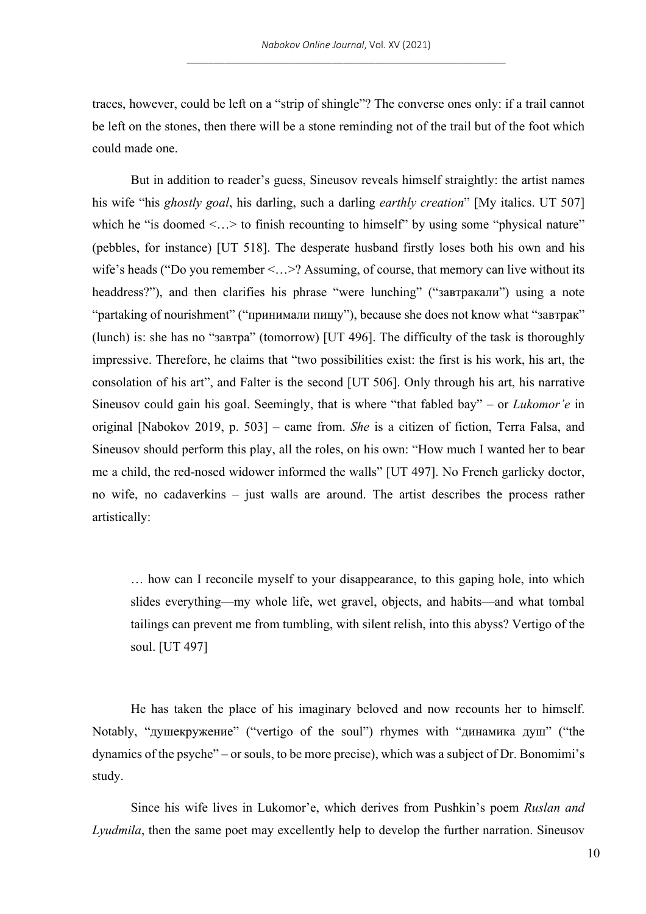traces, however, could be left on a "strip of shingle"? The converse ones only: if a trail cannot be left on the stones, then there will be a stone reminding not of the trail but of the foot which could made one.

But in addition to reader's guess, Sineusov reveals himself straightly: the artist names his wife "his *ghostly goal*, his darling, such a darling *earthly creation*" [My italics. UT 507] which he "is doomed <...> to finish recounting to himself" by using some "physical nature" (pebbles, for instance) [UT 518]. The desperate husband firstly loses both his own and his wife's heads ("Do you remember <...>? Assuming, of course, that memory can live without its headdress?"), and then clarifies his phrase "were lunching" ("завтракали") using a note "partaking of nourishment" ("принимали пищу"), because she does not know what "завтрак" (lunch) is: she has no "завтра" (tomorrow) [UT 496]. The difficulty of the task is thoroughly impressive. Therefore, he claims that "two possibilities exist: the first is his work, his art, the consolation of his art", and Falter is the second [UT 506]. Only through his art, his narrative Sineusov could gain his goal. Seemingly, that is where "that fabled bay" – or *Lukomor'e* in original [Nabokov 2019, p. 503] – came from. *She* is a citizen of fiction, Terra Falsa, and Sineusov should perform this play, all the roles, on his own: "How much I wanted her to bear me a child, the red-nosed widower informed the walls" [UT 497]. No French garlicky doctor, no wife, no cadaverkins – just walls are around. The artist describes the process rather artistically:

… how can I reconcile myself to your disappearance, to this gaping hole, into which slides everything—my whole life, wet gravel, objects, and habits—and what tombal tailings can prevent me from tumbling, with silent relish, into this abyss? Vertigo of the soul. [UT 497]

He has taken the place of his imaginary beloved and now recounts her to himself. Notably, "душекружение" ("vertigo of the soul") rhymes with "динамика душ" ("the dynamics of the psyche" – or souls, to be more precise), which was a subject of Dr. Bonomimi's study.

Since his wife lives in Lukomor'e, which derives from Pushkin's poem *Ruslan and Lyudmila*, then the same poet may excellently help to develop the further narration. Sineusov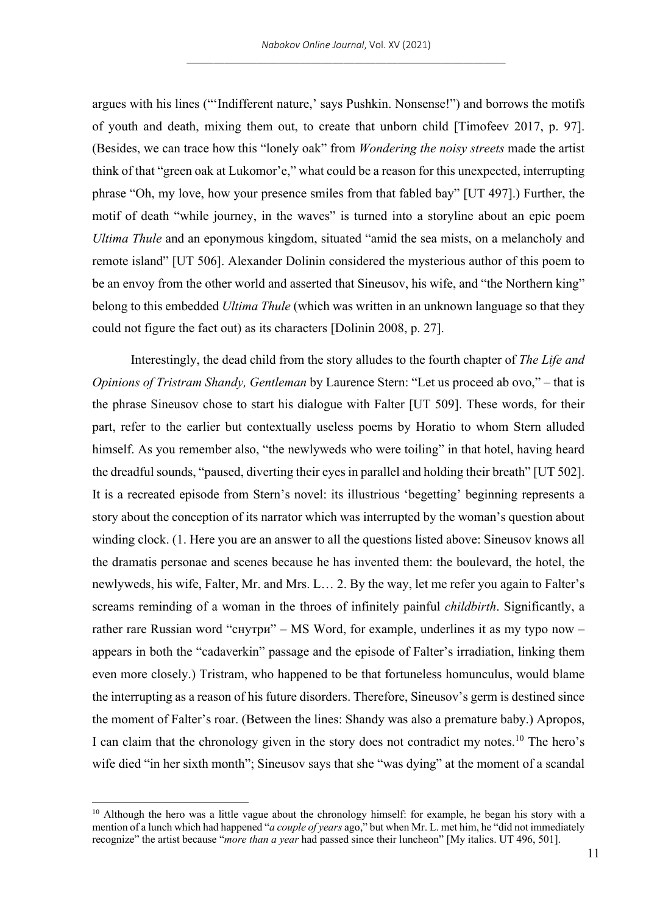argues with his lines ("'Indifferent nature,' says Pushkin. Nonsense!") and borrows the motifs of youth and death, mixing them out, to create that unborn child [Timofeev 2017, p. 97]. (Besides, we can trace how this "lonely oak" from *Wondering the noisy streets* made the artist think of that "green oak at Lukomor'e," what could be a reason for this unexpected, interrupting phrase "Oh, my love, how your presence smiles from that fabled bay" [UT 497].) Further, the motif of death "while journey, in the waves" is turned into a storyline about an epic poem *Ultima Thule* and an eponymous kingdom, situated "amid the sea mists, on a melancholy and remote island" [UT 506]. Alexander Dolinin considered the mysterious author of this poem to be an envoy from the other world and asserted that Sineusov, his wife, and "the Northern king" belong to this embedded *Ultima Thule* (which was written in an unknown language so that they could not figure the fact out) as its characters [Dolinin 2008, p. 27].

Interestingly, the dead child from the story alludes to the fourth chapter of *The Life and Opinions of Tristram Shandy, Gentleman* by Laurence Stern: "Let us proceed ab ovo," – that is the phrase Sineusov chose to start his dialogue with Falter [UT 509]. These words, for their part, refer to the earlier but contextually useless poems by Horatio to whom Stern alluded himself. As you remember also, "the newlyweds who were toiling" in that hotel, having heard the dreadful sounds, "paused, diverting their eyes in parallel and holding their breath" [UT 502]. It is a recreated episode from Stern's novel: its illustrious 'begetting' beginning represents a story about the conception of its narrator which was interrupted by the woman's question about winding clock. (1. Here you are an answer to all the questions listed above: Sineusov knows all the dramatis personae and scenes because he has invented them: the boulevard, the hotel, the newlyweds, his wife, Falter, Mr. and Mrs. L… 2. By the way, let me refer you again to Falter's screams reminding of a woman in the throes of infinitely painful *childbirth*. Significantly, a rather rare Russian word "снутри" – MS Word, for example, underlines it as my typo now – appears in both the "cadaverkin" passage and the episode of Falter's irradiation, linking them even more closely.) Tristram, who happened to be that fortuneless homunculus, would blame the interrupting as a reason of his future disorders. Therefore, Sineusov's germ is destined since the moment of Falter's roar. (Between the lines: Shandy was also a premature baby.) Apropos, I can claim that the chronology given in the story does not contradict my notes.<sup>10</sup> The hero's wife died "in her sixth month"; Sineusov says that she "was dying" at the moment of a scandal

 $10$  Although the hero was a little vague about the chronology himself: for example, he began his story with a mention of a lunch which had happened "*a couple of years* ago," but when Mr. L. met him, he "did not immediately recognize" the artist because "*more than a year* had passed since their luncheon" [My italics. UT 496, 501].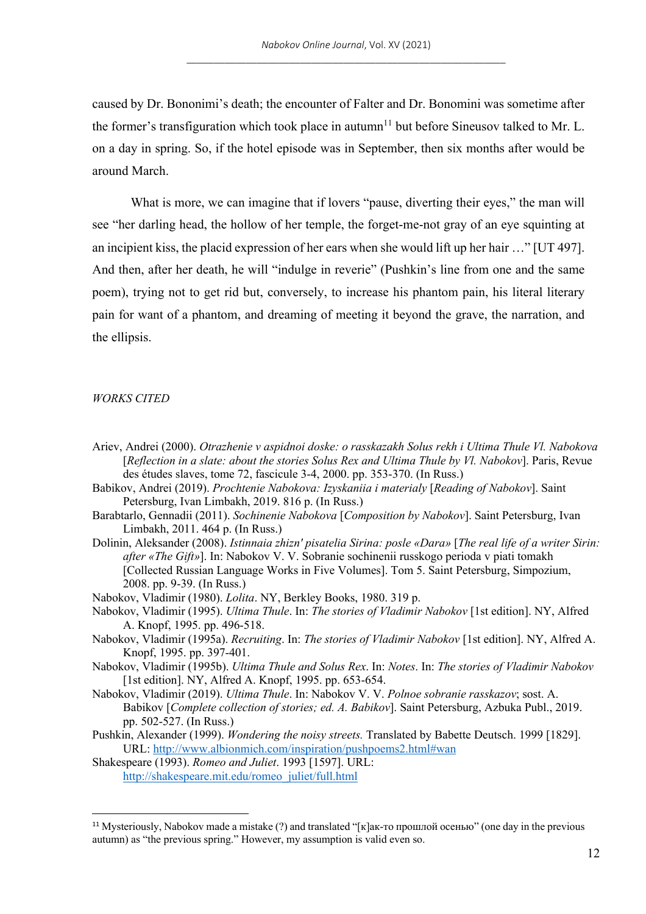caused by Dr. Bononimi's death; the encounter of Falter and Dr. Bonomini was sometime after the former's transfiguration which took place in autumn<sup>11</sup> but before Sineusov talked to Mr. L. on a day in spring. So, if the hotel episode was in September, then six months after would be around March.

What is more, we can imagine that if lovers "pause, diverting their eyes," the man will see "her darling head, the hollow of her temple, the forget-me-not gray of an eye squinting at an incipient kiss, the placid expression of her ears when she would lift up her hair …" [UT 497]. And then, after her death, he will "indulge in reverie" (Pushkin's line from one and the same poem), trying not to get rid but, conversely, to increase his phantom pain, his literal literary pain for want of a phantom, and dreaming of meeting it beyond the grave, the narration, and the ellipsis.

## *WORKS CITED*

- Ariev, Andrei (2000). *Otrazhenie v aspidnoi doske: o rasskazakh Solus rekh i Ultima Thule Vl. Nabokova* [*Reflection in a slate: about the stories Solus Rex and Ultima Thule by Vl. Nabokov*]. Paris, Revue des études slaves, tome 72, fascicule 3-4, 2000. pp. 353-370. (In Russ.)
- Babikov, Andrei (2019). *Prochtenie Nabokova: Izyskaniia i materialy* [*Reading of Nabokov*]. Saint Petersburg, Ivan Limbakh, 2019. 816 p. (In Russ.)
- Barabtarlo, Gennadii (2011). *Sochinenie Nabokova* [*Composition by Nabokov*]. Saint Petersburg, Ivan Limbakh, 2011. 464 p. (In Russ.)
- Dolinin, Aleksander (2008). *Istinnaia zhizn' pisatelia Sirina: posle «Dara»* [*The real life of a writer Sirin: after «The Gift»*]. In: Nabokov V. V. Sobranie sochinenii russkogo perioda v piati tomakh [Collected Russian Language Works in Five Volumes]. Tom 5. Saint Petersburg, Simpozium, 2008. pp. 9-39. (In Russ.)
- Nabokov, Vladimir (1980). *Lolita*. NY, Berkley Books, 1980. 319 p.
- Nabokov, Vladimir (1995). *Ultima Thule*. In: *The stories of Vladimir Nabokov* [1st edition]. NY, Alfred A. Knopf, 1995. pp. 496-518.
- Nabokov, Vladimir (1995a). *Recruiting*. In: *The stories of Vladimir Nabokov* [1st edition]. NY, Alfred A. Knopf, 1995. pp. 397-401.
- Nabokov, Vladimir (1995b). *Ultima Thule and Solus Rex*. In: *Notes*. In: *The stories of Vladimir Nabokov* [1st edition]. NY, Alfred A. Knopf, 1995. pp. 653-654.]
- Nabokov, Vladimir (2019). *Ultima Thule*. In: Nabokov V. V. *Polnoe sobranie rasskazov*; sost. A. Babikov [*Complete collection of stories; ed. A. Babikov*]. Saint Petersburg, Azbuka Publ., 2019. pp. 502-527. (In Russ.)
- Pushkin, Alexander (1999). *Wondering the noisy streets.* Translated by Babette Deutsch. 1999 [1829]. URL: http://www.albionmich.com/inspiration/pushpoems2.html#wan
- Shakespeare (1993). *Romeo and Juliet*. 1993 [1597]. URL: http://shakespeare.mit.edu/romeo\_juliet/full.html

<sup>11</sup> Mysteriously, Nabokov made a mistake (?) and translated "[к]ак-то прошлой осенью" (one day in the previous autumn) as "the previous spring." However, my assumption is valid even so.